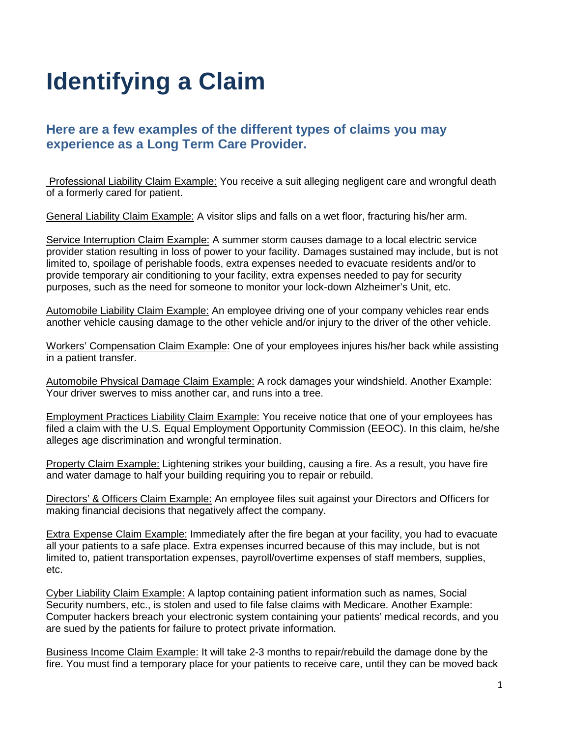# **Identifying a Claim**

#### **Here are a few examples of the different types of claims you may experience as a Long Term Care Provider.**

Professional Liability Claim Example: You receive a suit alleging negligent care and wrongful death of a formerly cared for patient.

General Liability Claim Example: A visitor slips and falls on a wet floor, fracturing his/her arm.

Service Interruption Claim Example: A summer storm causes damage to a local electric service provider station resulting in loss of power to your facility. Damages sustained may include, but is not limited to, spoilage of perishable foods, extra expenses needed to evacuate residents and/or to provide temporary air conditioning to your facility, extra expenses needed to pay for security purposes, such as the need for someone to monitor your lock-down Alzheimer's Unit, etc.

Automobile Liability Claim Example: An employee driving one of your company vehicles rear ends another vehicle causing damage to the other vehicle and/or injury to the driver of the other vehicle.

Workers' Compensation Claim Example: One of your employees injures his/her back while assisting in a patient transfer.

Automobile Physical Damage Claim Example: A rock damages your windshield. Another Example: Your driver swerves to miss another car, and runs into a tree.

Employment Practices Liability Claim Example: You receive notice that one of your employees has filed a claim with the U.S. Equal Employment Opportunity Commission (EEOC). In this claim, he/she alleges age discrimination and wrongful termination.

Property Claim Example: Lightening strikes your building, causing a fire. As a result, you have fire and water damage to half your building requiring you to repair or rebuild.

Directors' & Officers Claim Example: An employee files suit against your Directors and Officers for making financial decisions that negatively affect the company.

Extra Expense Claim Example: Immediately after the fire began at your facility, you had to evacuate all your patients to a safe place. Extra expenses incurred because of this may include, but is not limited to, patient transportation expenses, payroll/overtime expenses of staff members, supplies, etc.

Cyber Liability Claim Example: A laptop containing patient information such as names, Social Security numbers, etc., is stolen and used to file false claims with Medicare. Another Example: Computer hackers breach your electronic system containing your patients' medical records, and you are sued by the patients for failure to protect private information.

Business Income Claim Example: It will take 2-3 months to repair/rebuild the damage done by the fire. You must find a temporary place for your patients to receive care, until they can be moved back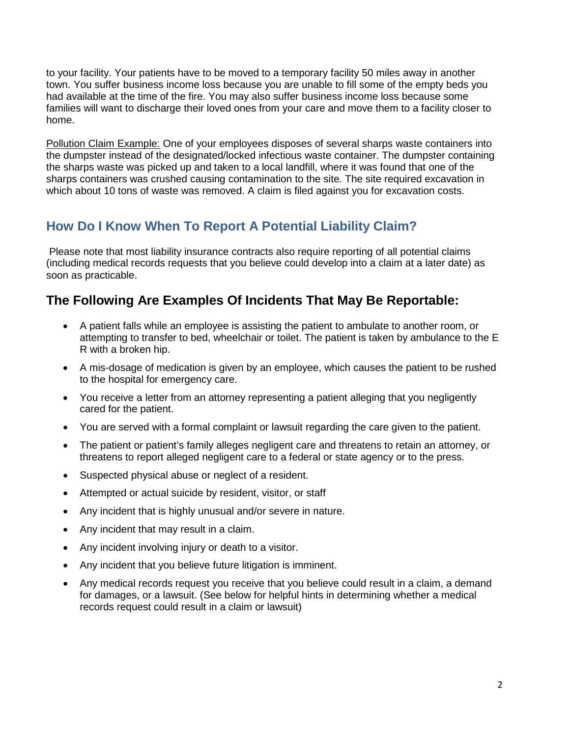to your facility. Your patients have to be moved to a temporary facility 50 miles away in another town. You suffer business income loss because you are unable to fill some of the empty beds you had available at the time of the fire. You may also suffer business income loss because some families will want to discharge their loved ones from your care and move them to a facility closer to home.

Pollution Claim Example: One of your employees disposes of several sharps waste containers into the dumpster instead of the designated/locked infectious waste container. The dumpster containing the sharps waste was picked up and taken to a local landfill, where it was found that one of the sharps containers was crushed causing contamination to the site. The site required excavation in which about 10 tons of waste was removed. A claim is filed against you for excavation costs.

# **How Do I Know When To Report A Potential Liability Claim?**

Please note that most liability insurance contracts also require reporting of all potential claims (including medical records requests that you believe could develop into a claim at a later date) as soon as practicable.

#### **The Following Are Examples Of Incidents That May Be Reportable:**

- A patient falls while an employee is assisting the patient to ambulate to another room, or attempting to transfer to bed, wheelchair or toilet. The patient is taken by ambulance to the E R with a broken hip.
- A mis-dosage of medication is given by an employee, which causes the patient to be rushed to the hospital for emergency care.
- You receive a letter from an attorney representing a patient alleging that you negligently cared for the patient.
- You are served with a formal complaint or lawsuit regarding the care given to the patient.
- The patient or patient's family alleges negligent care and threatens to retain an attorney, or threatens to report alleged negligent care to a federal or state agency or to the press.
- Suspected physical abuse or neglect of a resident.
- Attempted or actual suicide by resident, visitor, or staff
- Any incident that is highly unusual and/or severe in nature.
- Any incident that may result in a claim.
- Any incident involving injury or death to a visitor.
- Any incident that you believe future litigation is imminent.
- Any medical records request you receive that you believe could result in a claim, a demand for damages, or a lawsuit. (See below for helpful hints in determining whether a medical records request could result in a claim or lawsuit)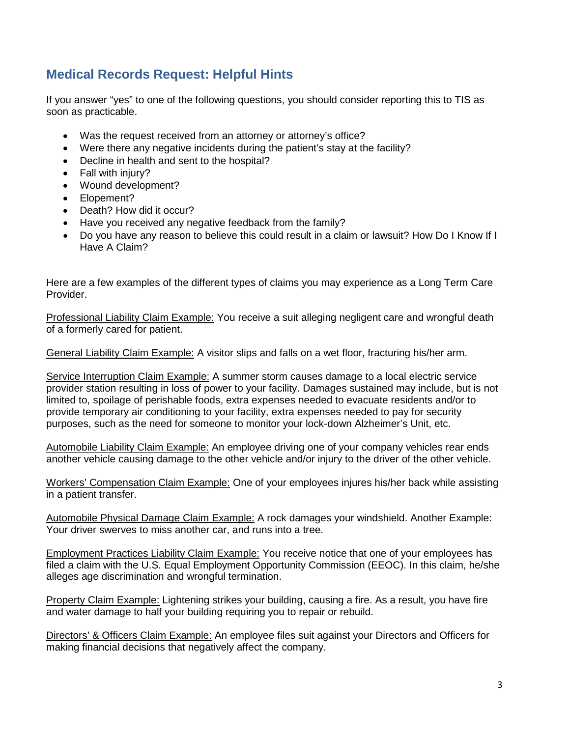### **Medical Records Request: Helpful Hints**

If you answer "yes" to one of the following questions, you should consider reporting this to TIS as soon as practicable.

- Was the request received from an attorney or attorney's office?
- Were there any negative incidents during the patient's stay at the facility?
- Decline in health and sent to the hospital?
- Fall with injury?
- Wound development?
- Elopement?
- Death? How did it occur?
- Have you received any negative feedback from the family?
- Do you have any reason to believe this could result in a claim or lawsuit? How Do I Know If I Have A Claim?

Here are a few examples of the different types of claims you may experience as a Long Term Care Provider.

Professional Liability Claim Example: You receive a suit alleging negligent care and wrongful death of a formerly cared for patient.

General Liability Claim Example: A visitor slips and falls on a wet floor, fracturing his/her arm.

Service Interruption Claim Example: A summer storm causes damage to a local electric service provider station resulting in loss of power to your facility. Damages sustained may include, but is not limited to, spoilage of perishable foods, extra expenses needed to evacuate residents and/or to provide temporary air conditioning to your facility, extra expenses needed to pay for security purposes, such as the need for someone to monitor your lock-down Alzheimer's Unit, etc.

Automobile Liability Claim Example: An employee driving one of your company vehicles rear ends another vehicle causing damage to the other vehicle and/or injury to the driver of the other vehicle.

Workers' Compensation Claim Example: One of your employees injures his/her back while assisting in a patient transfer.

Automobile Physical Damage Claim Example: A rock damages your windshield. Another Example: Your driver swerves to miss another car, and runs into a tree.

Employment Practices Liability Claim Example: You receive notice that one of your employees has filed a claim with the U.S. Equal Employment Opportunity Commission (EEOC). In this claim, he/she alleges age discrimination and wrongful termination.

Property Claim Example: Lightening strikes your building, causing a fire. As a result, you have fire and water damage to half your building requiring you to repair or rebuild.

Directors' & Officers Claim Example: An employee files suit against your Directors and Officers for making financial decisions that negatively affect the company.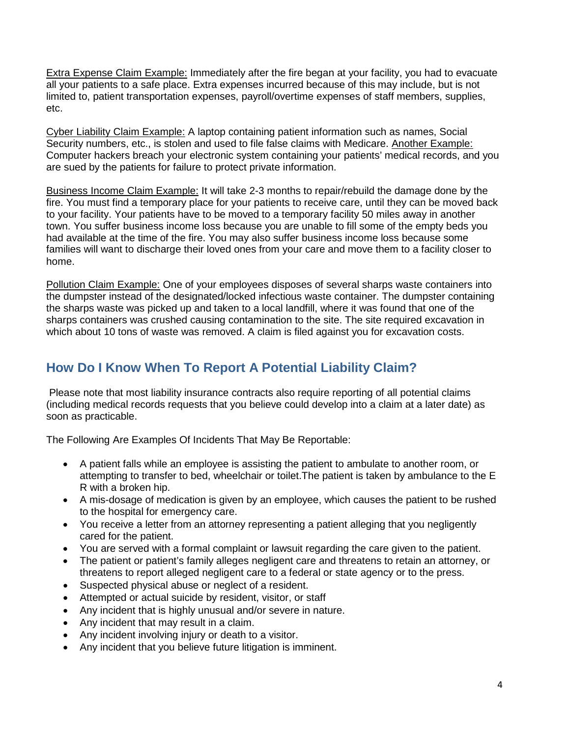Extra Expense Claim Example: Immediately after the fire began at your facility, you had to evacuate all your patients to a safe place. Extra expenses incurred because of this may include, but is not limited to, patient transportation expenses, payroll/overtime expenses of staff members, supplies, etc.

Cyber Liability Claim Example: A laptop containing patient information such as names, Social Security numbers, etc., is stolen and used to file false claims with Medicare. Another Example: Computer hackers breach your electronic system containing your patients' medical records, and you are sued by the patients for failure to protect private information.

Business Income Claim Example: It will take 2-3 months to repair/rebuild the damage done by the fire. You must find a temporary place for your patients to receive care, until they can be moved back to your facility. Your patients have to be moved to a temporary facility 50 miles away in another town. You suffer business income loss because you are unable to fill some of the empty beds you had available at the time of the fire. You may also suffer business income loss because some families will want to discharge their loved ones from your care and move them to a facility closer to home.

Pollution Claim Example: One of your employees disposes of several sharps waste containers into the dumpster instead of the designated/locked infectious waste container. The dumpster containing the sharps waste was picked up and taken to a local landfill, where it was found that one of the sharps containers was crushed causing contamination to the site. The site required excavation in which about 10 tons of waste was removed. A claim is filed against you for excavation costs.

## **How Do I Know When To Report A Potential Liability Claim?**

Please note that most liability insurance contracts also require reporting of all potential claims (including medical records requests that you believe could develop into a claim at a later date) as soon as practicable.

The Following Are Examples Of Incidents That May Be Reportable:

- A patient falls while an employee is assisting the patient to ambulate to another room, or attempting to transfer to bed, wheelchair or toilet.The patient is taken by ambulance to the E R with a broken hip.
- A mis-dosage of medication is given by an employee, which causes the patient to be rushed to the hospital for emergency care.
- You receive a letter from an attorney representing a patient alleging that you negligently cared for the patient.
- You are served with a formal complaint or lawsuit regarding the care given to the patient.
- The patient or patient's family alleges negligent care and threatens to retain an attorney, or threatens to report alleged negligent care to a federal or state agency or to the press.
- Suspected physical abuse or neglect of a resident.
- Attempted or actual suicide by resident, visitor, or staff
- Any incident that is highly unusual and/or severe in nature.
- Any incident that may result in a claim.
- Any incident involving injury or death to a visitor.
- Any incident that you believe future litigation is imminent.